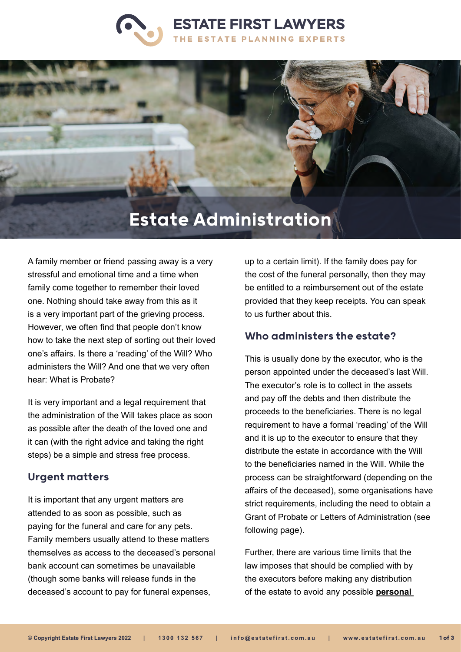



A family member or friend passing away is a very stressful and emotional time and a time when family come together to remember their loved one. Nothing should take away from this as it is a very important part of the grieving process. However, we often find that people don't know how to take the next step of sorting out their loved one's affairs. Is there a 'reading' of the Will? Who administers the Will? And one that we very often hear: What is Probate?

It is very important and a legal requirement that the administration of the Will takes place as soon as possible after the death of the loved one and it can (with the right advice and taking the right steps) be a simple and stress free process.

# Urgent matters

It is important that any urgent matters are attended to as soon as possible, such as paying for the funeral and care for any pets. Family members usually attend to these matters themselves as access to the deceased's personal bank account can sometimes be unavailable (though some banks will release funds in the deceased's account to pay for funeral expenses,

up to a certain limit). If the family does pay for the cost of the funeral personally, then they may be entitled to a reimbursement out of the estate provided that they keep receipts. You can speak to us further about this.

# Who administers the estate?

This is usually done by the executor, who is the person appointed under the deceased's last Will. The executor's role is to collect in the assets and pay off the debts and then distribute the proceeds to the beneficiaries. There is no legal requirement to have a formal 'reading' of the Will and it is up to the executor to ensure that they distribute the estate in accordance with the Will to the beneficiaries named in the Will. While the process can be straightforward (depending on the affairs of the deceased), some organisations have strict requirements, including the need to obtain a Grant of Probate or Letters of Administration (see following page).

Further, there are various time limits that the law imposes that should be complied with by the executors before making any distribution of the estate to avoid any possible **[personal](https://www.estatefirst.com.au/estate-administration/executor-advice)**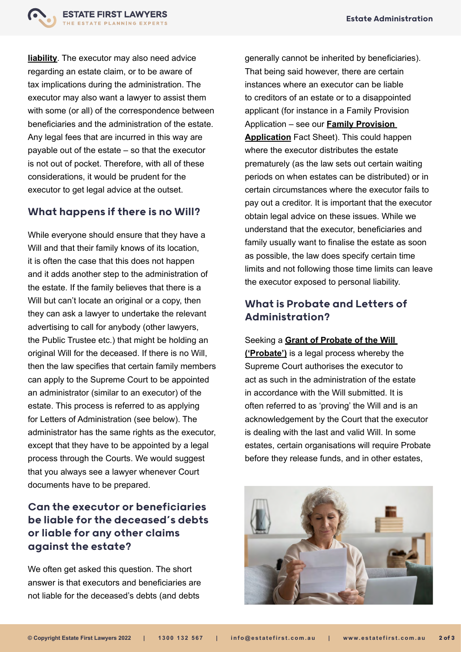

**[liability](https://www.estatefirst.com.au/estate-administration/executor-advice)**. The executor may also need advice regarding an estate claim, or to be aware of tax implications during the administration. The executor may also want a lawyer to assist them with some (or all) of the correspondence between beneficiaries and the administration of the estate. Any legal fees that are incurred in this way are payable out of the estate – so that the executor is not out of pocket. Therefore, with all of these considerations, it would be prudent for the executor to get legal advice at the outset.

# What happens if there is no Will?

While everyone should ensure that they have a Will and that their family knows of its location, it is often the case that this does not happen and it adds another step to the administration of the estate. If the family believes that there is a Will but can't locate an original or a copy, then they can ask a lawyer to undertake the relevant advertising to call for anybody (other lawyers, the Public Trustee etc.) that might be holding an original Will for the deceased. If there is no Will, then the law specifies that certain family members can apply to the Supreme Court to be appointed an administrator (similar to an executor) of the estate. This process is referred to as applying for Letters of Administration (see below). The administrator has the same rights as the executor, except that they have to be appointed by a legal process through the Courts. We would suggest that you always see a lawyer whenever Court documents have to be prepared.

# Can the executor or beneficiaries be liable for the deceased's debts or liable for any other claims against the estate?

We often get asked this question. The short answer is that executors and beneficiaries are not liable for the deceased's debts (and debts

generally cannot be inherited by beneficiaries). That being said however, there are certain instances where an executor can be liable to creditors of an estate or to a disappointed applicant (for instance in a Family Provision Application – see our **[Family Provision](https://www.estatefirst.com.au/estate-planning/estate-claims-advice)  [Application](https://www.estatefirst.com.au/estate-planning/estate-claims-advice)** Fact Sheet). This could happen where the executor distributes the estate prematurely (as the law sets out certain waiting periods on when estates can be distributed) or in certain circumstances where the executor fails to pay out a creditor. It is important that the executor obtain legal advice on these issues. While we understand that the executor, beneficiaries and family usually want to finalise the estate as soon as possible, the law does specify certain time limits and not following those time limits can leave the executor exposed to personal liability.

# What is Probate and Letters of Administration?

Seeking a **[Grant of Probate of the Will](https://www.estatefirst.com.au/estate-administration/wills-probate)  [\('Probate'\)](https://www.estatefirst.com.au/estate-administration/wills-probate)** is a legal process whereby the Supreme Court authorises the executor to act as such in the administration of the estate in accordance with the Will submitted. It is often referred to as 'proving' the Will and is an acknowledgement by the Court that the executor is dealing with the last and valid Will. In some estates, certain organisations will require Probate before they release funds, and in other estates,